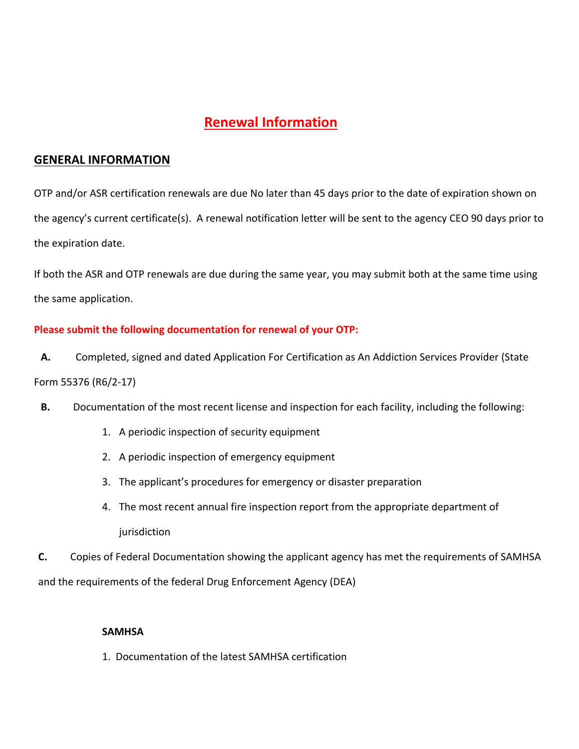# **Renewal Information**

## **GENERAL INFORMATION**

OTP and/or ASR certification renewals are due No later than 45 days prior to the date of expiration shown on the agency's current certificate(s). A renewal notification letter will be sent to the agency CEO 90 days prior to the expiration date.

If both the ASR and OTP renewals are due during the same year, you may submit both at the same time using the same application.

### **Please submit the following documentation for renewal of your OTP:**

**A.** Completed, signed and dated Application For Certification as An Addiction Services Provider (State Form 55376 (R6/2-17)

- **B.** Documentation of the most recent license and inspection for each facility, including the following:
	- 1. A periodic inspection of security equipment
	- 2. A periodic inspection of emergency equipment
	- 3. The applicant's procedures for emergency or disaster preparation
	- 4. The most recent annual fire inspection report from the appropriate department of iurisdiction

**C.** Copies of Federal Documentation showing the applicant agency has met the requirements of SAMHSA and the requirements of the federal Drug Enforcement Agency (DEA)

#### **SAMHSA**

1. Documentation of the latest SAMHSA certification